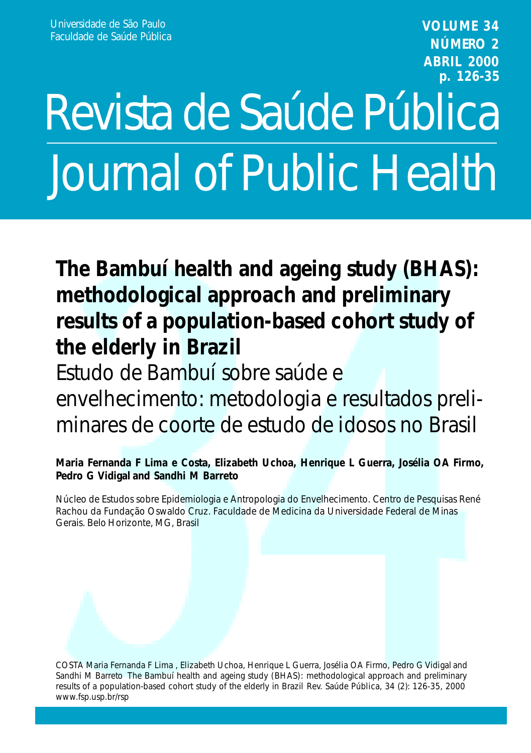**VOLUME 34 NÚMERO 2 ABRIL 2000 p. 126-35**

# Journal of Public Health Revista de Saúde Pública

**The Bambuí health and ageing study (BHAS): methodological approach and preliminary results of a population-based cohort study of the elderly in Brazil**

Estudo de Bambuí sobre saúde e

envelhecimento: metodologia e resultados preliminares de coorte de estudo de idosos no Brasil

**Maria Fernanda F Lima e Costa, Elizabeth Uchoa, Henrique L Guerra, Josélia OA Firmo, Pedro G Vidigal and Sandhi M Barreto**

*Núcleo de Estudos sobre Epidemiologia e Antropologia do Envelhecimento. Centro de Pesquisas René Rachou da Fundação Oswaldo Cruz. Faculdade de Medicina da Universidade Federal de Minas Gerais. Belo Horizonte, MG, Brasil*

COSTA Maria Fernanda F Lima , Elizabeth Uchoa, Henrique L Guerra, Josélia OA Firmo, Pedro G Vidigal and Sandhi M Barreto *The Bambuí health and ageing study (BHAS): methodological approach and preliminary* results of a population-based cohort study of the elderly in Brazil Rev. Saúde Pública, 34 (2): 126-35, 2000 www.fsp.usp.br/rsp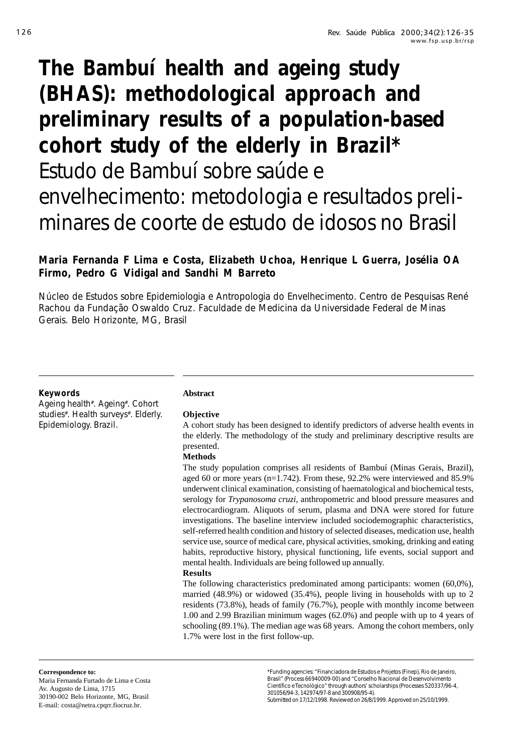# **The Bambuí health and ageing study (BHAS): methodological approach and preliminary results of a population-based cohort study of the elderly in Brazil\*** Estudo de Bambuí sobre saúde e

envelhecimento: metodologia e resultados preliminares de coorte de estudo de idosos no Brasil

# **Maria Fernanda F Lima e Costa, Elizabeth Uchoa, Henrique L Guerra, Josélia OA Firmo, Pedro G Vidigal and Sandhi M Barreto**

*Núcleo de Estudos sobre Epidemiologia e Antropologia do Envelhecimento. Centro de Pesquisas René Rachou da Fundação Oswaldo Cruz. Faculdade de Medicina da Universidade Federal de Minas Gerais. Belo Horizonte, MG, Brasil*

# **Keywords**

Ageing health#. Ageing#. Cohort studies# . Health surveys# . Elderly. Epidemiology. Brazil.

#### **Abstract**

# **Objective**

A cohort study has been designed to identify predictors of adverse health events in the elderly. The methodology of the study and preliminary descriptive results are presented.

#### **Methods**

The study population comprises all residents of Bambuí (Minas Gerais, Brazil), aged 60 or more years (n=1.742). From these, 92.2% were interviewed and 85.9% underwent clinical examination, consisting of haematological and biochemical tests, serology for *Trypanosoma cruzi,* anthropometric and blood pressure measures and electrocardiogram. Aliquots of serum, plasma and DNA were stored for future investigations. The baseline interview included sociodemographic characteristics, self-referred health condition and history of selected diseases, medication use, health service use, source of medical care, physical activities, smoking, drinking and eating habits, reproductive history, physical functioning, life events, social support and mental health. Individuals are being followed up annually. **Results**

### The following characteristics predominated among participants: women (60,0%), married (48.9%) or widowed (35.4%), people living in households with up to 2 residents (73.8%), heads of family (76.7%), people with monthly income between 1.00 and 2.99 Brazilian minimum wages (62.0%) and people with up to 4 years of schooling (89.1%). The median age was 68 years. Among the cohort members, only 1.7% were lost in the first follow-up.

**Correspondence to:** Maria Fernanda Furtado de Lima e Costa Av. Augusto de Lima, 1715 30190-002 Belo Horizonte, MG, Brasil E-mail: costa@netra.cpqrr.fiocruz.br.

\*Funding agencies: "Financiadora de Estudos e Projetos (Finep), Rio de Janeiro, Brasil" (Process 66940009-00) and "Conselho Nacional de Desenvolvimento Científico e Tecnológico" through authors' scholarships (Processes 520337/96-4, 301056/94-3, 142974/97-8 and 300908/95-4). Submitted on 17/12/1998. Reviewed on 26/8/1999. Approved on 25/10/1999.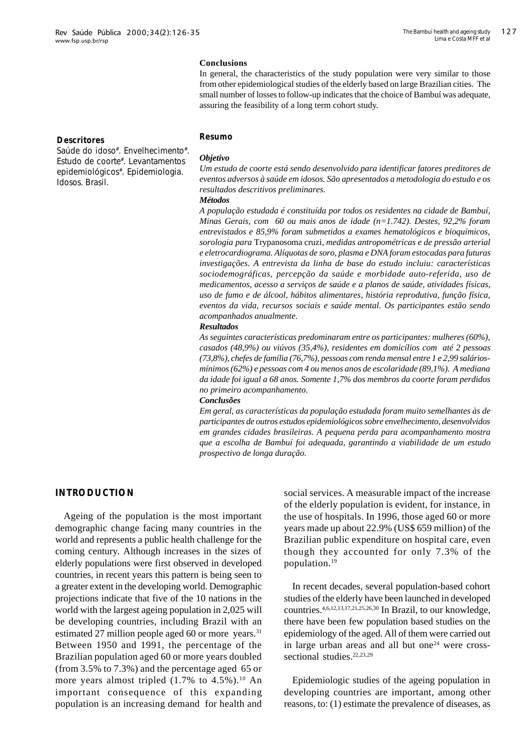#### **Conclusions**

In general, the characteristics of the study population were very similar to those from other epidemiological studies of the elderly based on large Brazilian cities. The small number of losses to follow-up indicates that the choice of Bambuí was adequate, assuring the feasibility of a long term cohort study.

#### *Descritores*

Saúde do idoso#. Envelhecimento#. Estudo de coorte# . Levantamentos epidemiológicos# . Epidemiologia. Idosos. Brasil.

### *Resumo*

#### *Objetivo*

*Um estudo de coorte está sendo desenvolvido para identificar fatores preditores de eventos adversos à saúde em idosos. São apresentados a metodologia do estudo e os resultados descritivos preliminares.*

#### *Métodos*

*A população estudada é constituída por todos os residentes na cidade de Bambuí, Minas Gerais, com 60 ou mais anos de idade (n=1.742). Destes, 92,2% foram entrevistados e 85,9% foram submetidos a exames hematológicos e bioquímicos, sorologia para* Trypanosoma cruzi*, medidas antropométricas e de pressão arterial e eletrocardiograma. Alíquotas de soro, plasma e DNA foram estocadas para futuras investigações. A entrevista da linha de base do estudo incluiu: características sociodemográficas, percepção da saúde e morbidade auto-referida, uso de medicamentos, acesso a serviços de saúde e a planos de saúde, atividades físicas, uso de fumo e de álcool, hábitos alimentares, história reprodutiva, função física, eventos da vida, recursos sociais e saúde mental. Os participantes estão sendo acompanhados anualmente.*

#### *Resultados*

*As seguintes características predominaram entre os participantes: mulheres (60%), casados (48,9%) ou viúvos (35,4%), residentes em domicílios com até 2 pessoas (73,8%), chefes de família (76,7%), pessoas com renda mensal entre 1 e 2,99 saláriosmínimos (62%) e pessoas com 4 ou menos anos de escolaridade (89,1%). A mediana da idade foi igual a 68 anos. Somente 1,7% dos membros da coorte foram perdidos no primeiro acompanhamento.*

#### *Conclusões*

*Em geral, as características da população estudada foram muito semelhantes às de participantes de outros estudos epidemiológicos sobre envelhecimento, desenvolvidos em grandes cidades brasileiras. A pequena perda para acompanhamento mostra que a escolha de Bambuí foi adequada, garantindo a viabilidade de um estudo prospectivo de longa duração.*

# **INTRODUCTION**

Ageing of the population is the most important demographic change facing many countries in the world and represents a public health challenge for the coming century. Although increases in the sizes of elderly populations were first observed in developed countries, in recent years this pattern is being seen to a greater extent in the developing world. Demographic projections indicate that five of the 10 nations in the world with the largest ageing population in 2,025 will be developing countries, including Brazil with an estimated 27 million people aged 60 or more years.<sup>31</sup> Between 1950 and 1991, the percentage of the Brazilian population aged 60 or more years doubled (from 3.5% to 7.3%) and the percentage aged 65 or more years almost tripled  $(1.7\%$  to  $4.5\%$ ).<sup>10</sup> An important consequence of this expanding population is an increasing demand for health and social services. A measurable impact of the increase of the elderly population is evident, for instance, in the use of hospitals. In 1996, those aged 60 or more years made up about 22.9% (US\$ 659 million) of the Brazilian public expenditure on hospital care, even though they accounted for only 7.3% of the population.19

In recent decades, several population-based cohort studies of the elderly have been launched in developed countries.4,6,12,13,17,21,25,26,30 In Brazil, to our knowledge, there have been few population based studies on the epidemiology of the aged. All of them were carried out in large urban areas and all but one $24$  were crosssectional studies.<sup>22,23,29</sup>

Epidemiologic studies of the ageing population in developing countries are important, among other reasons, to: (1) estimate the prevalence of diseases, as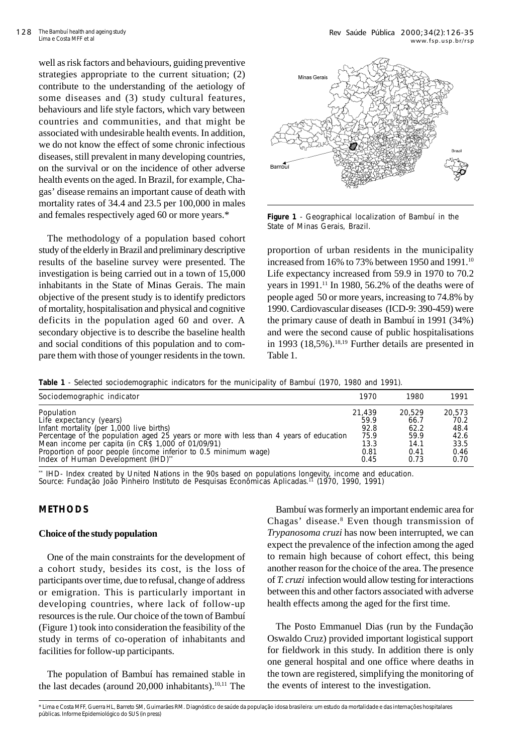well as risk factors and behaviours, guiding preventive strategies appropriate to the current situation; (2) contribute to the understanding of the aetiology of some diseases and (3) study cultural features, behaviours and life style factors, which vary between countries and communities, and that might be associated with undesirable health events. In addition, we do not know the effect of some chronic infectious diseases, still prevalent in many developing countries, on the survival or on the incidence of other adverse health events on the aged. In Brazil, for example, Chagas' disease remains an important cause of death with mortality rates of 34.4 and 23.5 per 100,000 in males and females respectively aged 60 or more years.\*

The methodology of a population based cohort study of the elderly in Brazil and preliminary descriptive results of the baseline survey were presented. The investigation is being carried out in a town of 15,000 inhabitants in the State of Minas Gerais. The main objective of the present study is to identify predictors of mortality, hospitalisation and physical and cognitive deficits in the population aged 60 and over. A secondary objective is to describe the baseline health and social conditions of this population and to compare them with those of younger residents in the town.



**Figure 1** - Geographical localization of Bambuí in the State of Minas Gerais, Brazil.

proportion of urban residents in the municipality increased from 16% to 73% between 1950 and 1991.<sup>10</sup> Life expectancy increased from 59.9 in 1970 to 70.2 years in 1991.<sup>11</sup> In 1980, 56.2% of the deaths were of people aged 50 or more years, increasing to 74.8% by 1990. Cardiovascular diseases (ICD-9: 390-459) were the primary cause of death in Bambuí in 1991 (34%) and were the second cause of public hospitalisations in 1993 (18,5%).<sup>18,19</sup> Further details are presented in Table 1.

**Table 1** - Selected sociodemographic indicators for the municipality of Bambuí (1970, 1980 and 1991).

| Sociodemographic indicator                                                             | 1970   | 1980   | 1991   |
|----------------------------------------------------------------------------------------|--------|--------|--------|
| Population                                                                             | 21.439 | 20.529 | 20.573 |
| Life expectancy (years)                                                                | 59.9   | 66.7   | 70.2   |
| Infant mortality (per 1,000 live births)                                               | 92.8   | 62.2   | 48.4   |
| Percentage of the population aged 25 years or more with less than 4 years of education | 75.9   | 59.9   | 42.6   |
| Mean income per capita (in CR\$ 1,000 of 01/09/91)                                     | 13.3   | 14.1   | 33.5   |
| Proportion of poor people (income inferior to 0.5 minimum wage)                        | 0.81   | 0.41   | 0.46   |
| Index of Human Development (IHD)**                                                     | 0.45   | 0.73   | 0.70   |

IHD- Index created by United Nations in the 90s based on populations longevity, income and education. Source: Fundação João Pinheiro Instituto de Pesquisas Econômicas Aplicadas.11 (1970, 1990, 1991)

# **METHODS**

#### **Choice of the study population**

One of the main constraints for the development of a cohort study, besides its cost, is the loss of participants over time, due to refusal, change of address or emigration. This is particularly important in developing countries, where lack of follow-up resources is the rule. Our choice of the town of Bambuí (Figure 1) took into consideration the feasibility of the study in terms of co-operation of inhabitants and facilities for follow-up participants.

The population of Bambuí has remained stable in the last decades (around  $20,000$  inhabitants).<sup>10,11</sup> The

Bambuí was formerly an important endemic area for Chagas' disease.8 Even though transmission of *Trypanosoma cruzi* has now been interrupted, we can expect the prevalence of the infection among the aged to remain high because of cohort effect, this being another reason for the choice of the area. The presence of *T. cruzi* infection would allow testing for interactions between this and other factors associated with adverse health effects among the aged for the first time.

The Posto Emmanuel Dias (run by the Fundação Oswaldo Cruz) provided important logistical support for fieldwork in this study. In addition there is only one general hospital and one office where deaths in the town are registered, simplifying the monitoring of the events of interest to the investigation.

\* Lima e Costa MFF, Guerra HL, Barreto SM, Guimarães RM. Diagnóstico de saúde da população idosa brasileira: um estudo da mortalidade e das internações hospitalares públicas. *Informe Epidemiológico do SUS* (*in press*)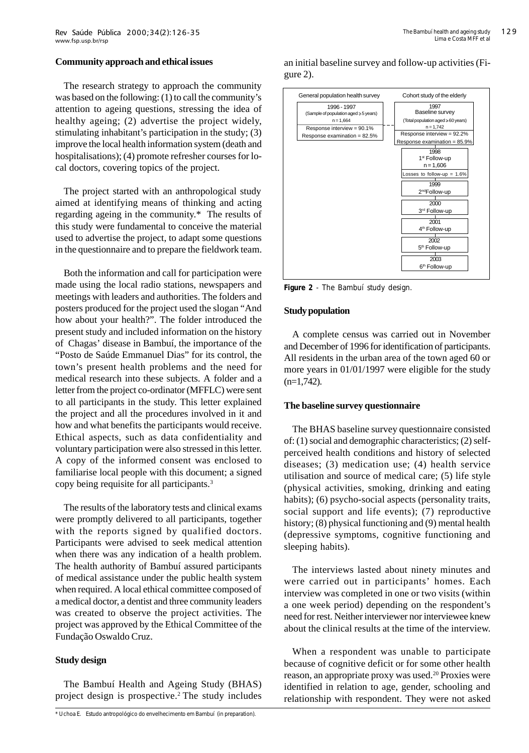#### **Community approach and ethical issues**

The research strategy to approach the community was based on the following: (1) to call the community's attention to ageing questions, stressing the idea of healthy ageing; (2) advertise the project widely, stimulating inhabitant's participation in the study; (3) improve the local health information system (death and hospitalisations); (4) promote refresher courses for local doctors, covering topics of the project.

The project started with an anthropological study aimed at identifying means of thinking and acting regarding ageing in the community.\* The results of this study were fundamental to conceive the material used to advertise the project, to adapt some questions in the questionnaire and to prepare the fieldwork team.

Both the information and call for participation were made using the local radio stations, newspapers and meetings with leaders and authorities. The folders and posters produced for the project used the slogan "And how about your health?". The folder introduced the present study and included information on the history of Chagas' disease in Bambuí, the importance of the "Posto de Saúde Emmanuel Dias" for its control, the town's present health problems and the need for medical research into these subjects. A folder and a letter from the project co-ordinator (MFFLC) were sent to all participants in the study. This letter explained the project and all the procedures involved in it and how and what benefits the participants would receive. Ethical aspects, such as data confidentiality and voluntary participation were also stressed in this letter. A copy of the informed consent was enclosed to familiarise local people with this document; a signed copy being requisite for all participants.<sup>3</sup>

The results of the laboratory tests and clinical exams were promptly delivered to all participants, together with the reports signed by qualified doctors. Participants were advised to seek medical attention when there was any indication of a health problem. The health authority of Bambuí assured participants of medical assistance under the public health system when required. A local ethical committee composed of a medical doctor, a dentist and three community leaders was created to observe the project activities. The project was approved by the Ethical Committee of the Fundação Oswaldo Cruz.

# **Study design**

The Bambuí Health and Ageing Study (BHAS) project design is prospective.2 The study includes General population health survey Cohort study of the elderly Response interview = 90.1% Response examination = 82.5% Response interview = 92.2% Response examination = 85.9% 1998 1<sup>st</sup> Follow-up  $n = 1,606$ Losses to follow-up = 1.6%  $\frac{1}{1999}$ 2<sup>nd</sup>Follow-up  $\overline{2000}$ 3rd Follow-up  $\frac{1}{2001}$ 4th Follow-up  $\frac{1}{2002}$ 5<sup>th</sup> Follow-up  $\frac{1}{2003}$ 6th Follow-up 1996 - 1997 (Sample of population aged > 5 years)  $n = 1,664$ <sup>1997</sup> Baseline survey (Total population aged > 60 years)  $n = 1,742$ 

an initial baseline survey and follow-up activities (Figure 2).

**Figure 2** - The Bambuí study design.

#### **Study population**

A complete census was carried out in November and December of 1996 for identification of participants. All residents in the urban area of the town aged 60 or more years in 01/01/1997 were eligible for the study  $(n=1.742)$ .

#### **The baseline survey questionnaire**

The BHAS baseline survey questionnaire consisted of: (1) social and demographic characteristics; (2) selfperceived health conditions and history of selected diseases; (3) medication use; (4) health service utilisation and source of medical care; (5) life style (physical activities, smoking, drinking and eating habits); (6) psycho-social aspects (personality traits, social support and life events); (7) reproductive history; (8) physical functioning and (9) mental health (depressive symptoms, cognitive functioning and sleeping habits).

The interviews lasted about ninety minutes and were carried out in participants' homes. Each interview was completed in one or two visits (within a one week period) depending on the respondent's need for rest. Neither interviewer nor interviewee knew about the clinical results at the time of the interview.

When a respondent was unable to participate because of cognitive deficit or for some other health reason, an appropriate proxy was used.20 Proxies were identified in relation to age, gender, schooling and relationship with respondent. They were not asked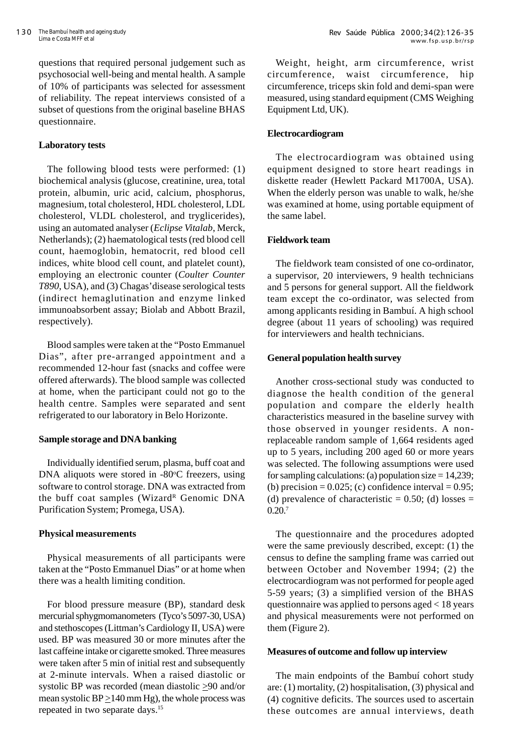questions that required personal judgement such as psychosocial well-being and mental health. A sample of 10% of participants was selected for assessment of reliability. The repeat interviews consisted of a subset of questions from the original baseline BHAS questionnaire.

#### **Laboratory tests**

The following blood tests were performed: (1) biochemical analysis (glucose, creatinine, urea, total protein, albumin, uric acid, calcium, phosphorus, magnesium, total cholesterol, HDL cholesterol, LDL cholesterol, VLDL cholesterol, and tryglicerides), using an automated analyser (*Eclipse Vitalab*, Merck, Netherlands); (2) haematological tests (red blood cell count, haemoglobin, hematocrit, red blood cell indices, white blood cell count, and platelet count), employing an electronic counter (*Coulter Counter T890*, USA), and (3) Chagas'disease serological tests (indirect hemaglutination and enzyme linked immunoabsorbent assay; Biolab and Abbott Brazil, respectively).

Blood samples were taken at the "Posto Emmanuel Dias", after pre-arranged appointment and a recommended 12-hour fast (snacks and coffee were offered afterwards). The blood sample was collected at home, when the participant could not go to the health centre. Samples were separated and sent refrigerated to our laboratory in Belo Horizonte.

# **Sample storage and DNA banking**

Individually identified serum, plasma, buff coat and DNA aliquots were stored in -80°C freezers, using software to control storage. DNA was extracted from the buff coat samples (Wizard<sup>R</sup> Genomic DNA Purification System; Promega, USA).

# **Physical measurements**

Physical measurements of all participants were taken at the "Posto Emmanuel Dias" or at home when there was a health limiting condition.

For blood pressure measure (BP), standard desk mercurial sphygmomanometers (Tyco's 5097-30, USA) and stethoscopes (Littman's Cardiology II, USA) were used. BP was measured 30 or more minutes after the last caffeine intake or cigarette smoked. Three measures were taken after 5 min of initial rest and subsequently at 2-minute intervals. When a raised diastolic or systolic BP was recorded (mean diastolic  $\geq 90$  and/or mean systolic  $BP \ge 140$  mm Hg), the whole process was repeated in two separate days.15

Weight, height, arm circumference, wrist circumference, waist circumference, hip circumference, triceps skin fold and demi-span were measured, using standard equipment (CMS Weighing Equipment Ltd, UK).

## **Electrocardiogram**

The electrocardiogram was obtained using equipment designed to store heart readings in diskette reader (Hewlett Packard M1700A, USA). When the elderly person was unable to walk, he/she was examined at home, using portable equipment of the same label.

### **Fieldwork team**

The fieldwork team consisted of one co-ordinator, a supervisor, 20 interviewers, 9 health technicians and 5 persons for general support. All the fieldwork team except the co-ordinator, was selected from among applicants residing in Bambuí. A high school degree (about 11 years of schooling) was required for interviewers and health technicians.

#### **General population health survey**

Another cross-sectional study was conducted to diagnose the health condition of the general population and compare the elderly health characteristics measured in the baseline survey with those observed in younger residents. A nonreplaceable random sample of 1,664 residents aged up to 5 years, including 200 aged 60 or more years was selected. The following assumptions were used for sampling calculations: (a) population size = 14,239; (b) precision =  $0.025$ ; (c) confidence interval =  $0.95$ ; (d) prevalence of characteristic  $= 0.50$ ; (d) losses  $=$ 0.20.7

The questionnaire and the procedures adopted were the same previously described, except: (1) the census to define the sampling frame was carried out between October and November 1994; (2) the electrocardiogram was not performed for people aged 5-59 years; (3) a simplified version of the BHAS questionnaire was applied to persons aged < 18 years and physical measurements were not performed on them (Figure 2).

#### **Measures of outcome and follow up interview**

The main endpoints of the Bambuí cohort study are: (1) mortality, (2) hospitalisation, (3) physical and (4) cognitive deficits. The sources used to ascertain these outcomes are annual interviews, death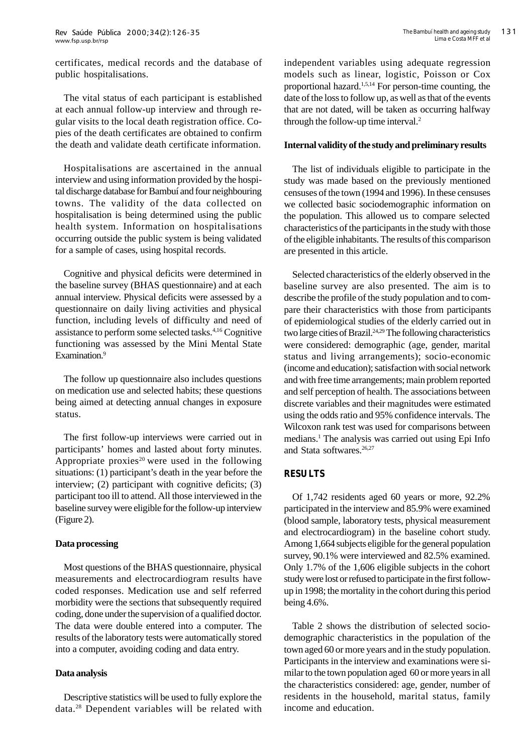certificates, medical records and the database of public hospitalisations.

The vital status of each participant is established at each annual follow-up interview and through regular visits to the local death registration office. Copies of the death certificates are obtained to confirm the death and validate death certificate information.

Hospitalisations are ascertained in the annual interview and using information provided by the hospital discharge database for Bambuí and four neighbouring towns. The validity of the data collected on hospitalisation is being determined using the public health system. Information on hospitalisations occurring outside the public system is being validated for a sample of cases, using hospital records.

Cognitive and physical deficits were determined in the baseline survey (BHAS questionnaire) and at each annual interview. Physical deficits were assessed by a questionnaire on daily living activities and physical function, including levels of difficulty and need of assistance to perform some selected tasks.4,16 Cognitive functioning was assessed by the Mini Mental State Examination.<sup>9</sup>

The follow up questionnaire also includes questions on medication use and selected habits; these questions being aimed at detecting annual changes in exposure status.

The first follow-up interviews were carried out in participants' homes and lasted about forty minutes. Appropriate proxies $20$  were used in the following situations: (1) participant's death in the year before the interview; (2) participant with cognitive deficits; (3) participant too ill to attend. All those interviewed in the baseline survey were eligible for the follow-up interview (Figure 2).

# **Data processing**

Most questions of the BHAS questionnaire, physical measurements and electrocardiogram results have coded responses. Medication use and self referred morbidity were the sections that subsequently required coding, done under the supervision of a qualified doctor. The data were double entered into a computer. The results of the laboratory tests were automatically stored into a computer, avoiding coding and data entry.

#### **Data analysis**

Descriptive statistics will be used to fully explore the data.28 Dependent variables will be related with The Bambuí health and ageing study *Lima e Costa MFF et al*

models such as linear, logistic, Poisson or Cox proportional hazard.1,5,14 For person-time counting, the date of the loss to follow up, as well as that of the events that are not dated, will be taken as occurring halfway through the follow-up time interval.<sup>2</sup>

#### **Internal validity of the study and preliminary results**

The list of individuals eligible to participate in the study was made based on the previously mentioned censuses of the town (1994 and 1996). In these censuses we collected basic sociodemographic information on the population. This allowed us to compare selected characteristics of the participants in the study with those of the eligible inhabitants. The results of this comparison are presented in this article.

Selected characteristics of the elderly observed in the baseline survey are also presented. The aim is to describe the profile of the study population and to compare their characteristics with those from participants of epidemiological studies of the elderly carried out in two large cities of Brazil.<sup>24,29</sup> The following characteristics were considered: demographic (age, gender, marital status and living arrangements); socio-economic (income and education); satisfaction with social network and with free time arrangements; main problem reported and self perception of health. The associations between discrete variables and their magnitudes were estimated using the odds ratio and 95% confidence intervals. The Wilcoxon rank test was used for comparisons between medians.1 The analysis was carried out using Epi Info and Stata softwares.<sup>26,27</sup>

# **RESULTS**

Of 1,742 residents aged 60 years or more, 92.2% participated in the interview and 85.9% were examined (blood sample, laboratory tests, physical measurement and electrocardiogram) in the baseline cohort study. Among 1,664 subjects eligible for the general population survey, 90.1% were interviewed and 82.5% examined. Only 1.7% of the 1,606 eligible subjects in the cohort study were lost or refused to participate in the first followup in 1998; the mortality in the cohort during this period being 4.6%.

Table 2 shows the distribution of selected sociodemographic characteristics in the population of the town aged 60 or more years and in the study population. Participants in the interview and examinations were similar to the town population aged 60 or more years in all the characteristics considered: age, gender, number of residents in the household, marital status, family income and education.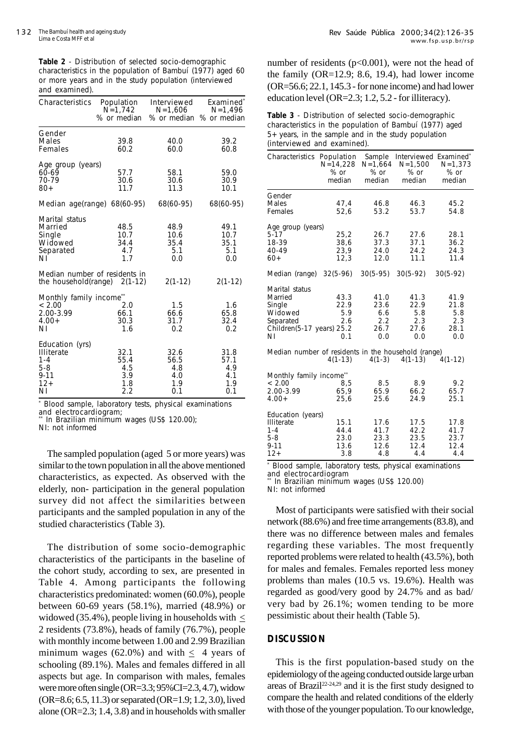**Table 2** - Distribution of selected socio-demographic characteristics in the population of Bambuí (1977) aged 60 or more years and in the study population (interviewed and examined).

| Characteristics                                                                       | Population<br>$N = 1.742$<br>% or median | Interviewed<br>N=1,606                   | Examined <sup>*</sup><br>$N = 1,496$<br>% or median % or median |
|---------------------------------------------------------------------------------------|------------------------------------------|------------------------------------------|-----------------------------------------------------------------|
| Gender<br>Males<br>Females                                                            | 39.8<br>60.2                             | 40.0<br>60.0                             | 39.2<br>60.8                                                    |
| Age group (years)<br>60-69<br>70-79<br>$80+$                                          | 57.7<br>30.6<br>11.7                     | 58.1<br>30.6<br>11.3                     | 59.0<br>30.9<br>10.1                                            |
| Median age(range) 68(60-95)                                                           |                                          | 68(60-95)                                | 68(60-95)                                                       |
| Marital status<br>Married<br>Single<br>Widowed<br>Separated<br>ΝI                     | 48.5<br>10.7<br>34.4<br>4.7<br>1.7       | 48.9<br>10.6<br>35.4<br>5.1<br>0.0       | 49.1<br>10.7<br>35.1<br>5.1<br>0.0                              |
| Median number of residents in<br>the household(range) $2(1-12)$                       |                                          | $2(1-12)$                                | $2(1-12)$                                                       |
| Monthly family income**<br>< 2.00<br>2.00-3.99<br>$4.00+$<br>ΝI                       | 2.0<br>66.1<br>30.3<br>1.6               | 1.5<br>66.6<br>31.7<br>0.2               | 1.6<br>65.8<br>32.4<br>0.2                                      |
| Education (yrs)<br><b>Illiterate</b><br>$1 - 4$<br>$5 - 8$<br>$9 - 11$<br>$12+$<br>ΝI | 32.1<br>55.4<br>4.5<br>3.9<br>1.8<br>2.2 | 32.6<br>56.5<br>4.8<br>4.0<br>1.9<br>0.1 | 31.8<br>57.1<br>4.9<br>4.1<br>1.9<br>0.1                        |

\* Blood sample, laboratory tests, physical examinations and electrocardiogram;

In Brazilian minimum wages (US\$ 120.00);

NI: not informed

The sampled population (aged 5 or more years) was similar to the town population in all the above mentioned characteristics, as expected. As observed with the elderly, non- participation in the general population survey did not affect the similarities between participants and the sampled population in any of the studied characteristics (Table 3).

The distribution of some socio-demographic characteristics of the participants in the baseline of the cohort study, according to sex, are presented in Table 4. Among participants the following characteristics predominated: women (60.0%), people between 60-69 years (58.1%), married (48.9%) or widowed (35.4%), people living in households with  $\leq$ 2 residents (73.8%), heads of family (76.7%), people with monthly income between 1.00 and 2.99 Brazilian minimum wages (62.0%) and with  $\leq$  4 years of schooling (89.1%). Males and females differed in all aspects but age. In comparison with males, females were more often single (OR=3.3; 95%CI=2.3, 4.7), widow (OR=8.6; 6.5, 11.3) or separated (OR=1.9; 1.2, 3.0), lived alone (OR=2.3; 1.4, 3.8) and in households with smaller number of residents (p<0.001), were not the head of the family (OR=12.9; 8.6, 19.4), had lower income (OR=56.6; 22.1, 145.3 - for none income) and had lower education level (OR=2.3; 1.2, 5.2 - for illiteracy).

**Table 3** - Distribution of selected socio-demographic characteristics in the population of Bambuí (1977) aged 5+ years, in the sample and in the study population (interviewed and examined).

| Characteristics                                                                                | Population<br>$N = 14,228$<br>% or<br>median | Sample<br>$N = 1,664$<br>$%$ or<br>median | Interviewed Examined*<br>$N = 1,500$<br>$%$ or<br>median | $N = 1,373$<br>% or<br>median             |
|------------------------------------------------------------------------------------------------|----------------------------------------------|-------------------------------------------|----------------------------------------------------------|-------------------------------------------|
| Gender<br>Males<br>Females                                                                     | 47,4<br>52,6                                 | 46.8<br>53.2                              | 46.3<br>53.7                                             | 45.2<br>54.8                              |
| Age group (years)<br>$5 - 17$<br>18-39<br>$40 - 49$<br>$60+$                                   | 25,2<br>38,6<br>23,9<br>12.3                 | 26.7<br>37.3<br>24.0<br>12.0              | 27.6<br>37.1<br>24.2<br>11.1                             | 28.1<br>36.2<br>24.3<br>11.4              |
| Median (range)                                                                                 | $32(5-96)$                                   | $30(5-95)$                                | $30(5-92)$                                               | $30(5-92)$                                |
| Marital status<br>Married<br>Single<br>Widowed<br>Separated<br>Children(5-17 years) 25.2<br>ΝI | 43.3<br>22.9<br>5.9<br>2.6<br>0.1            | 41.0<br>23.6<br>6.6<br>2.2<br>26.7<br>0.0 | 41.3<br>22.9<br>5.8<br>2.3<br>27.6<br>0.0                | 41.9<br>21.8<br>5.8<br>2.3<br>28.1<br>0.0 |
| Median number of residents in the household (range)                                            | $4(1-13)$                                    | $4(1-3)$                                  | $4(1 - 13)$                                              | $4(1-12)$                                 |
| Monthly family income**<br>< 2.00<br>2.00-3.99<br>$4.00+$                                      | 8,5<br>65,9<br>25,6                          | 8.5<br>65.9<br>25.6                       | 8.9<br>66.2<br>24.9                                      | 9.2<br>65.7<br>25.1                       |
| Education (years)<br><b>Illiterate</b><br>$1 - 4$<br>$5 - 8$<br>$9 - 11$<br>$12 +$             | 15.1<br>44.4<br>23.0<br>13.6<br>3.8          | 17.6<br>41.7<br>23.3<br>12.6<br>4.8       | 17.5<br>42.2<br>23.5<br>12.4<br>4.4                      | 17.8<br>41.7<br>23.7<br>12.4<br>4.4       |

\* Blood sample, laboratory tests, physical examinations

and electrocardiogram

In Brazilian minimum wages (US\$ 120.00)

NI: not informed

Most of participants were satisfied with their social network (88.6%) and free time arrangements (83.8), and there was no difference between males and females regarding these variables. The most frequently reported problems were related to health (43.5%), both for males and females. Females reported less money problems than males (10.5 vs. 19.6%). Health was regarded as good/very good by 24.7% and as bad/ very bad by 26.1%; women tending to be more pessimistic about their health (Table 5).

# **DISCUSSION**

This is the first population-based study on the epidemiology of the ageing conducted outside large urban areas of Brazil<sup>22-24,29</sup> and it is the first study designed to compare the health and related conditions of the elderly with those of the younger population. To our knowledge,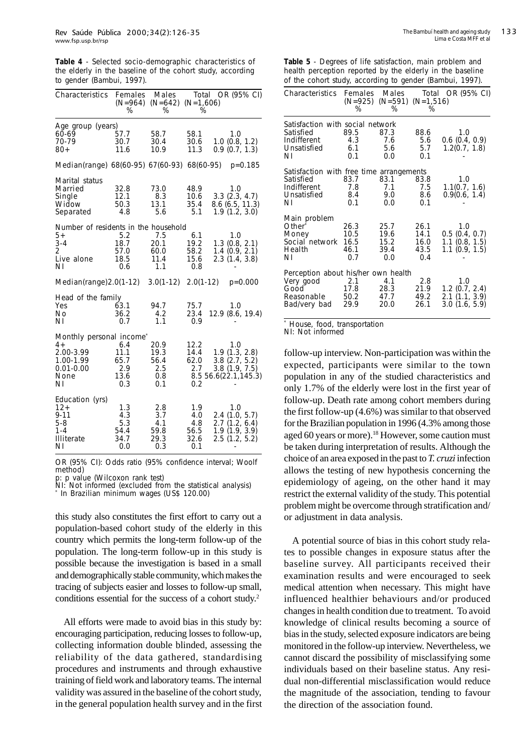**Table 4** - Selected socio-demographic characteristics of the elderly in the baseline of the cohort study, according to gender (Bambui, 1997).

| Characteristics                                                                                     | Females                                   | Males                                     |                                          |                                                                            | Total OR (95% CI)    |
|-----------------------------------------------------------------------------------------------------|-------------------------------------------|-------------------------------------------|------------------------------------------|----------------------------------------------------------------------------|----------------------|
|                                                                                                     | $(N=964)$<br>%                            | $(N=642)$ $(N=1,606)$<br>%                | %                                        |                                                                            |                      |
| Age group (years)<br>60-69<br>70-79<br>$80+$                                                        | 57.7<br>30.7<br>11.6                      | 58.7<br>30.4<br>10.9                      | 58.1<br>30.6<br>11.3                     | 1.0<br>1.0 (0.8, 1.2)<br>0.9 (0.7, 1.3)                                    |                      |
| Median(range) 68(60-95) 67(60-93) 68(60-95)                                                         |                                           |                                           |                                          |                                                                            | $p=0.185$            |
| Marital status<br>Married<br>Single<br>Widow<br>Separated                                           | 32.8<br>12.1<br>50.3<br>4.8               | 73.0<br>8.3<br>13.1<br>5.6                | 48.9<br>10.6<br>35.4<br>5.1              | 1.0<br>$3.3$ (2.3, 4.7)<br>8.6(6.5, 11.3)<br>1.9(1.2, 3.0)                 |                      |
| Number of residents in the household<br>$5+$<br>$3 - 4$<br>2<br>Live alone<br>ΝI                    | 5.2<br>18.7<br>57.0<br>18.5<br>0.6        | 7.5<br>20.1<br>60.0<br>11.4<br>1.1        | 6.1<br>19.2<br>58.2<br>15.6<br>0.8       | 1.0<br>$1.3$ (0.8, 2.1)<br>1.4(0.9, 2.1)<br>2.3(1.4, 3.8)                  |                      |
| Median(range)2.0(1-12)                                                                              |                                           | $3.0(1-12)$                               | $2.0(1-12)$                              |                                                                            | $p=0.000$            |
| Head of the family<br>Yes<br>No<br>ΝI                                                               | 63.1<br>36.2<br>0.7                       | 94.7<br>4.2<br>1.1                        | 75.7<br>23.4<br>0.9                      | 1.0                                                                        | 12.9 (8.6, 19.4)     |
| Monthly personal income <sup>*</sup><br>4+<br>2.00-3.99<br>1.00-1.99<br>$0.01 - 0.00$<br>None<br>ΝI | 6.4<br>11.1<br>65.7<br>2.9<br>13.6<br>0.3 | 20.9<br>19.3<br>56.4<br>2.5<br>0.8<br>0.1 | 12.2<br>14.4<br>62.0<br>2.7<br>0.2       | 1.0<br>1.9(1.3, 2.8)<br>$3.8(2.7, 5.2)$<br>$3.8(1.9, 7.5)$                 | 8.5 56.6(22.1,145.3) |
| Education (yrs)<br>$12+$<br>$9 - 11$<br>$5 - 8$<br>$1 - 4$<br>Illiterate<br>ΝI                      | 1.3<br>4.3<br>5.3<br>54.4<br>34.7<br>0.0  | 2.8<br>3.7<br>4.1<br>59.8<br>29.3<br>0.3  | 1.9<br>4.0<br>4.8<br>56.5<br>32.6<br>0.1 | 1.0<br>$2.4$ (1.0, 5.7)<br>2.7(1.2, 6.4)<br>1.9(1.9, 3.9)<br>2.5(1.2, 5.2) |                      |

OR (95% CI): Odds ratio (95% confidence interval; Woolf method)

p: p value (Wilcoxon rank test)

NI: Not informed (excluded from the statistical analysis)

\* In Brazilian minimum wages (US\$ 120.00)

this study also constitutes the first effort to carry out a population-based cohort study of the elderly in this country which permits the long-term follow-up of the population. The long-term follow-up in this study is possible because the investigation is based in a small and demographically stable community, which makes the tracing of subjects easier and losses to follow-up small, conditions essential for the success of a cohort study.<sup>2</sup>

All efforts were made to avoid bias in this study by: encouraging participation, reducing losses to follow-up, collecting information double blinded, assessing the reliability of the data gathered, standardising procedures and instruments and through exhaustive training of field work and laboratory teams. The internal validity was assured in the baseline of the cohort study, in the general population health survey and in the first

| Table 5 - Degrees of life satisfaction, main problem and  |  |  |  |  |  |
|-----------------------------------------------------------|--|--|--|--|--|
| health perception reported by the elderly in the baseline |  |  |  |  |  |
| of the cohort study, according to gender (Bambui, 1997).  |  |  |  |  |  |

| Characteristics                                                                           | Females<br>(N=925)<br>℅             | Males<br>(N=591)<br>℅               | $(N=1,516)$<br>℅                    | Total OR (95% CI)                                         |
|-------------------------------------------------------------------------------------------|-------------------------------------|-------------------------------------|-------------------------------------|-----------------------------------------------------------|
| Satisfaction with social network<br>Satisfied<br>Indifferent<br>Unsatisfied<br>ΝI         | 89.5<br>4.3<br>6.1<br>0.1           | 87.3<br>7.6<br>5.6<br>0.0           | 88.6<br>5.6<br>5.7<br>0.1           | 1.0<br>$0.6$ $(0.4, 0.9)$<br>1.2(0.7, 1.8)                |
| Satisfaction with free time arrangements<br>Satisfied<br>Indifferent<br>Unsatisfied<br>ΝI | 83.7<br>7.8<br>8.4<br>0.1           | 83.1<br>7.1<br>9.0<br>0.0           | 83.8<br>7.5<br>8.6<br>0.1           | 1.0<br>1.1(0.7, 1.6)<br>0.9(0.6, 1.4)                     |
| Main problem<br>Other'<br>Money<br>Social network<br>Health<br>ΝI                         | 26.3<br>10.5<br>16.5<br>46.1<br>0.7 | 25.7<br>19.6<br>15.2<br>39.4<br>0.0 | 26.1<br>14.1<br>16.0<br>43.5<br>0.4 | 1.0<br>0.5(0.4, 0.7)<br>$1.1$ (0.8, 1.5)<br>1.1(0.9, 1.5) |
| Perception about his/her own health<br>Very good<br>Good<br>Reasonable<br>Bad/very bad    | 2.1<br>17.8<br>50.2<br>29.9         | 4.1<br>28.3<br>47.7<br>20.0         | 2.8<br>21.9<br>49.2<br>26.1         | 1.0<br>1.2(0.7, 2.4)<br>2.1(1.1, 3.9)<br>3.0(1.6, 5.9)    |

\* House, food, transportation

NI: Not informed

follow-up interview. Non-participation was within the expected, participants were similar to the town population in any of the studied characteristics and only 1.7% of the elderly were lost in the first year of follow-up. Death rate among cohort members during the first follow-up (4.6%) was similar to that observed for the Brazilian population in 1996 (4.3% among those aged 60 years or more).<sup>18</sup> However, some caution must be taken during interpretation of results. Although the choice of an area exposed in the past to *T. cruzi* infection allows the testing of new hypothesis concerning the epidemiology of ageing, on the other hand it may restrict the external validity of the study. This potential problem might be overcome through stratification and/ or adjustment in data analysis.

A potential source of bias in this cohort study relates to possible changes in exposure status after the baseline survey. All participants received their examination results and were encouraged to seek medical attention when necessary. This might have influenced healthier behaviours and/or produced changes in health condition due to treatment. To avoid knowledge of clinical results becoming a source of bias in the study, selected exposure indicators are being monitored in the follow-up interview. Nevertheless, we cannot discard the possibility of misclassifying some individuals based on their baseline status. Any residual non-differential misclassification would reduce the magnitude of the association, tending to favour the direction of the association found.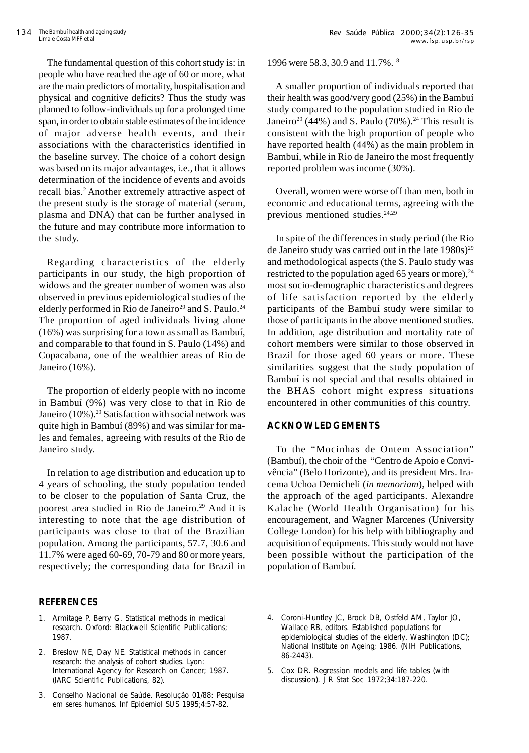The fundamental question of this cohort study is: in people who have reached the age of 60 or more, what are the main predictors of mortality, hospitalisation and physical and cognitive deficits? Thus the study was planned to follow-individuals up for a prolonged time span, in order to obtain stable estimates of the incidence of major adverse health events, and their associations with the characteristics identified in the baseline survey. The choice of a cohort design was based on its major advantages, i.e., that it allows determination of the incidence of events and avoids recall bias.<sup>2</sup> Another extremely attractive aspect of the present study is the storage of material (serum, plasma and DNA) that can be further analysed in the future and may contribute more information to the study.

Regarding characteristics of the elderly participants in our study, the high proportion of widows and the greater number of women was also observed in previous epidemiological studies of the elderly performed in Rio de Janeiro<sup>29</sup> and S. Paulo.<sup>24</sup> The proportion of aged individuals living alone (16%) was surprising for a town as small as Bambuí, and comparable to that found in S. Paulo (14%) and Copacabana, one of the wealthier areas of Rio de Janeiro (16%).

The proportion of elderly people with no income in Bambuí (9%) was very close to that in Rio de Janeiro (10%).29 Satisfaction with social network was quite high in Bambuí (89%) and was similar for males and females, agreeing with results of the Rio de Janeiro study.

In relation to age distribution and education up to 4 years of schooling, the study population tended to be closer to the population of Santa Cruz, the poorest area studied in Rio de Janeiro.<sup>29</sup> And it is interesting to note that the age distribution of participants was close to that of the Brazilian population. Among the participants, 57.7, 30.6 and 11.7% were aged 60-69, 70-79 and 80 or more years, respectively; the corresponding data for Brazil in

# **REFERENCES**

- 1. Armitage P, Berry G. *Statistical methods in medical research*. Oxford: Blackwell Scientific Publications; 1987.
- 2. Breslow NE, Day NE. *Statistical methods in cancer research: the analysis of cohort studies*. Lyon: International Agency for Research on Cancer; 1987. (IARC Scientific Publications, 82).
- 3. Conselho Nacional de Saúde. Resolução 01/88: Pesquisa em seres humanos. *Inf Epidemiol SUS* 1995;4:57-82.

1996 were 58.3, 30.9 and 11.7%.18

A smaller proportion of individuals reported that their health was good/very good (25%) in the Bambuí study compared to the population studied in Rio de Janeiro<sup>29</sup> (44%) and S. Paulo (70%).<sup>24</sup> This result is consistent with the high proportion of people who have reported health (44%) as the main problem in Bambuí, while in Rio de Janeiro the most frequently reported problem was income (30%).

Overall, women were worse off than men, both in economic and educational terms, agreeing with the previous mentioned studies.<sup>24,29</sup>

In spite of the differences in study period (the Rio de Janeiro study was carried out in the late  $1980s^{29}$ and methodological aspects (the S. Paulo study was restricted to the population aged 65 years or more),  $24$ most socio-demographic characteristics and degrees of life satisfaction reported by the elderly participants of the Bambuí study were similar to those of participants in the above mentioned studies. In addition, age distribution and mortality rate of cohort members were similar to those observed in Brazil for those aged 60 years or more. These similarities suggest that the study population of Bambuí is not special and that results obtained in the BHAS cohort might express situations encountered in other communities of this country.

# **ACKNOWLEDGEMENTS**

To the "Mocinhas de Ontem Association" (Bambuí), the choir of the "Centro de Apoio e Convivência" (Belo Horizonte), and its president Mrs. Iracema Uchoa Demicheli (*in memoriam*), helped with the approach of the aged participants. Alexandre Kalache (World Health Organisation) for his encouragement, and Wagner Marcenes (University College London) for his help with bibliography and acquisition of equipments. This study would not have been possible without the participation of the population of Bambuí.

- 4. Coroni-Huntley JC, Brock DB, Ostfeld AM, Taylor JO, Wallace RB, editors. *Established populations for epidemiological studies of the elderly*. Washington (DC); National Institute on Ageing; 1986. (NIH Publications, 86-2443).
- 5. Cox DR. Regression models and life tables (with discussion). *J R Stat Soc* 1972;34:187-220.